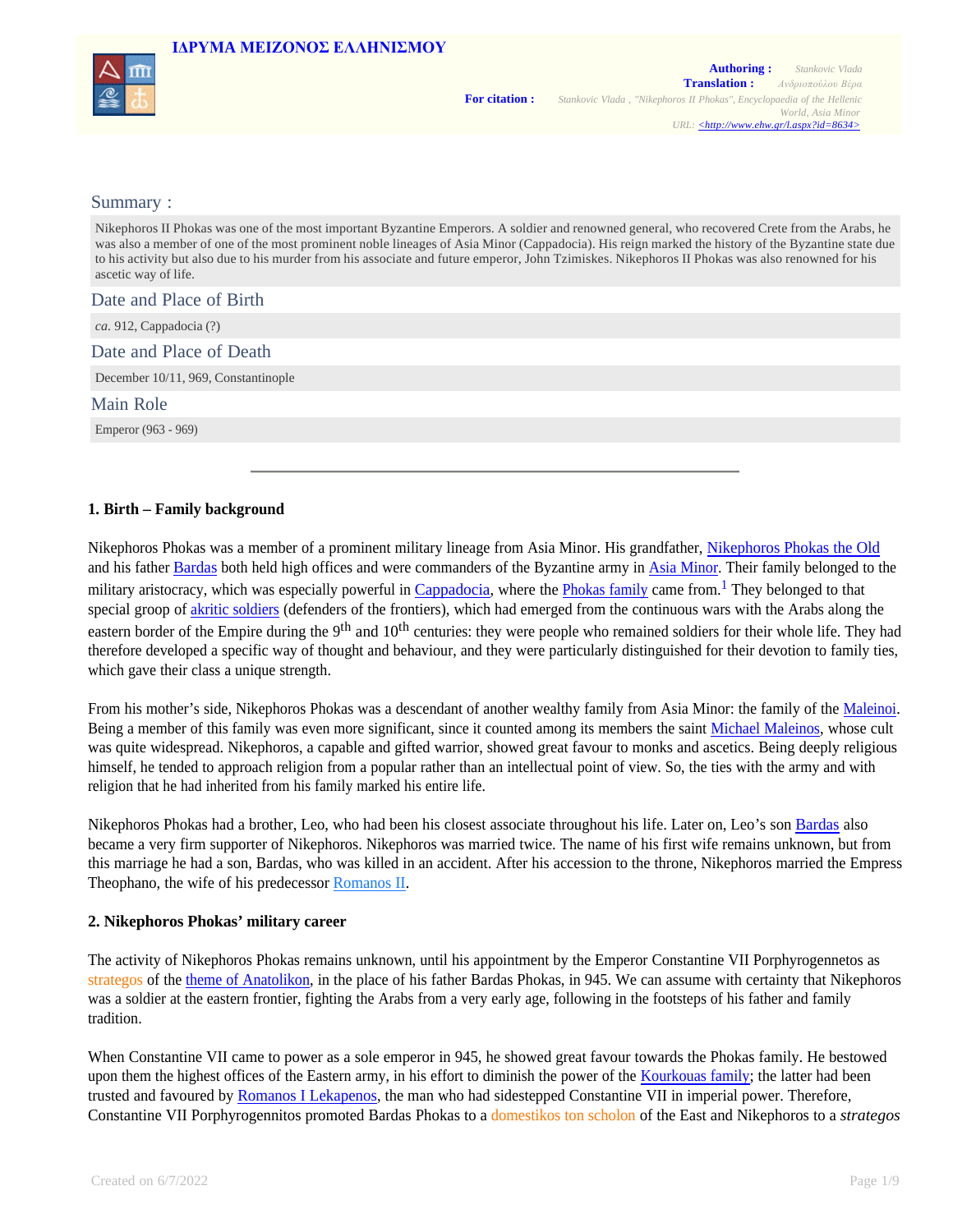

#### Summary :

Nikephoros II Phokas was one of the most important Byzantine Emperors. A soldier and renowned general, who recovered Crete from the Arabs, he was also a member of one of the most prominent noble lineages of Asia Minor (Cappadocia). His reign marked the history of the Byzantine state due to his activity but also due to his murder from his associate and future emperor, John Tzimiskes. Nikephoros II Phokas was also renowned for his ascetic way of life.

Date and Place of Birth

*ca.* 912, Cappadocia (?)

Date and Place of Death

December 10/11, 969, Constantinople

Main Role

Emperor (963 - 969)

### **1. Birth – Family background**

Nikephoros Phokas was a member of a prominent military lineage from Asia Minor. His grandfather, Nikephoros Phokas the Old and his father Bardas both held high offices and were commanders of the Byzantine army in Asia Minor. Their family belonged to the military aristocracy, which was especially powerful in Cappadocia, where the *Phokas family* came from.<sup>1</sup> They belonged to that special groop of akritic soldiers (defenders of the frontiers), which had emerged from the continuous wars with the Arabs along the eastern border of the Empire during the 9<sup>th</sup> and  $10<sup>th</sup>$  centuries: they were people who remained soldiers for their whole life. They had therefore developed a specific way of thought and behaviour, and they were particularly distinguished for their devotion to family ties, which gave their class a unique strength.

From his mother's side, Nikephoros Phokas was a descendant of another wealthy family from Asia Minor: the family of the Maleinoi. Being a member of this family was even more significant, since it counted among its members the saint Michael Maleinos, whose cult was quite widespread. Nikephoros, a capable and gifted warrior, showed great favour to monks and ascetics. Being deeply religious himself, he tended to approach religion from a popular rather than an intellectual point of view. So, the ties with the army and with religion that he had inherited from his family marked his entire life.

Nikephoros Phokas had a brother, Leo, who had been his closest associate throughout his life. Later on, Leo's son Bardas also became a very firm supporter of Nikephoros. Nikephoros was married twice. The name of his first wife remains unknown, but from this marriage he had a son, Bardas, who was killed in an accident. After his accession to the throne, Nikephoros married the Empress Theophano, the wife of his predecessor Romanos II.

### **2. Nikephoros Phokas' military career**

The activity of Nikephoros Phokas remains unknown, until his appointment by the Emperor Constantine VII Porphyrogennetos as strategos of the theme of Anatolikon, in the place of his father Bardas Phokas, in 945. We can assume with certainty that Nikephoros was a soldier at the eastern frontier, fighting the Arabs from a very early age, following in the footsteps of his father and family tradition.

When Constantine VII came to power as a sole emperor in 945, he showed great favour towards the Phokas family. He bestowed upon them the highest offices of the Eastern army, in his effort to diminish the power of the Kourkouas family; the latter had been trusted and favoured by Romanos I Lekapenos, the man who had sidestepped Constantine VII in imperial power. Therefore, Constantine VII Porphyrogennitos promoted Bardas Phokas to a domestikos ton scholon of the East and Nikephoros to a *strategos*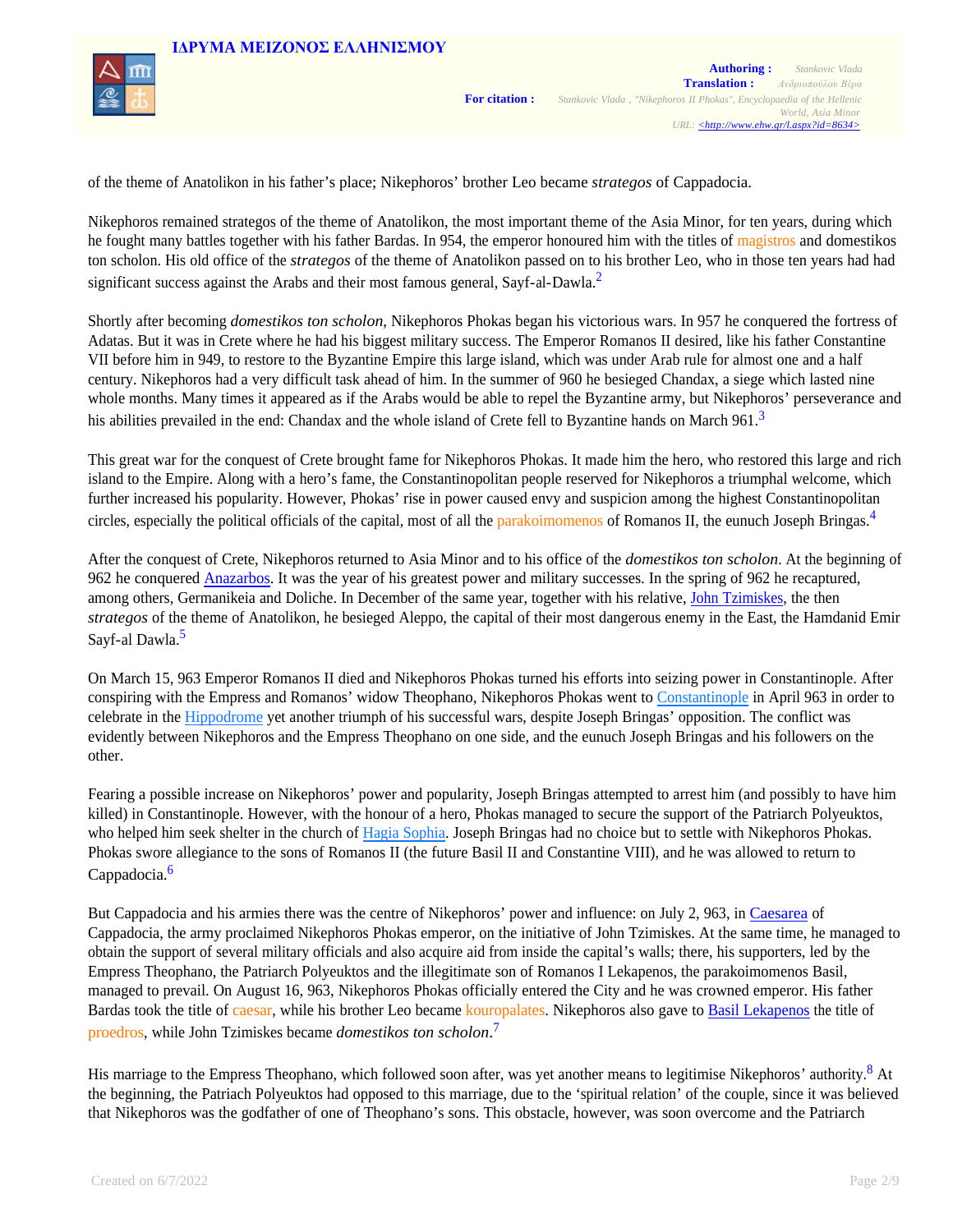

of the theme of Anatolikon in his father's place; Nikephoros' brother Leo became *strategos* of Cappadocia.

Nikephoros remained strategos of the theme of Anatolikon, the most important theme of the Asia Minor, for ten years, during which he fought many battles together with his father Bardas. In 954, the emperor honoured him with the titles of magistros and domestikos ton scholon. His old office of the *strategos* of the theme of Anatolikon passed on to his brother Leo, who in those ten years had had significant success against the Arabs and their most famous general, Sayf-al-Dawla.<sup>2</sup>

Shortly after becoming *domestikos ton scholon*, Nikephoros Phokas began his victorious wars. In 957 he conquered the fortress of Adatas. But it was in Crete where he had his biggest military success. The Emperor Romanos II desired, like his father Constantine VII before him in 949, to restore to the Byzantine Empire this large island, which was under Arab rule for almost one and a half century. Nikephoros had a very difficult task ahead of him. In the summer of 960 he besieged Chandax, a siege which lasted nine whole months. Many times it appeared as if the Arabs would be able to repel the Byzantine army, but Nikephoros' perseverance and his abilities prevailed in the end: Chandax and the whole island of Crete fell to Byzantine hands on March 961. $3$ 

This great war for the conquest of Crete brought fame for Nikephoros Phokas. It made him the hero, who restored this large and rich island to the Empire. Along with a hero's fame, the Constantinopolitan people reserved for Nikephoros a triumphal welcome, which further increased his popularity. However, Phokas' rise in power caused envy and suspicion among the highest Constantinopolitan circles, especially the political officials of the capital, most of all the parakoimomenos of Romanos II, the eunuch Joseph Bringas.<sup>4</sup>

After the conquest of Crete, Nikephoros returned to Asia Minor and to his office of the *domestikos ton scholon*. At the beginning of 962 he conquered Anazarbos. It was the year of his greatest power and military successes. In the spring of 962 he recaptured, among others, Germanikeia and Doliche. In December of the same year, together with his relative, John Tzimiskes, the then *strategos* of the theme of Anatolikon, he besieged Aleppo, the capital of their most dangerous enemy in the East, the Hamdanid Emir Sayf-al Dawla.<sup>5</sup>

On March 15, 963 Emperor Romanos II died and Nikephoros Phokas turned his efforts into seizing power in Constantinople. After conspiring with the Empress and Romanos' widow Theophano, Nikephoros Phokas went to Constantinople in April 963 in order to celebrate in the Hippodrome yet another triumph of his successful wars, despite Joseph Bringas' opposition. The conflict was evidently between Nikephoros and the Empress Theophano on one side, and the eunuch Joseph Bringas and his followers on the other.

Fearing a possible increase on Nikephoros' power and popularity, Joseph Bringas attempted to arrest him (and possibly to have him killed) in Constantinople. However, with the honour of a hero, Phokas managed to secure the support of the Patriarch Polyeuktos, who helped him seek shelter in the church of Hagia Sophia. Joseph Bringas had no choice but to settle with Nikephoros Phokas. Phokas swore allegiance to the sons of Romanos II (the future Basil II and Constantine VIII), and he was allowed to return to Cappadocia.<sup>6</sup>

But Cappadocia and his armies there was the centre of Nikephoros' power and influence: on July 2, 963, in Caesarea of Cappadocia, the army proclaimed Nikephoros Phokas emperor, on the initiative of John Tzimiskes. At the same time, he managed to obtain the support of several military officials and also acquire aid from inside the capital's walls; there, his supporters, led by the Empress Theophano, the Patriarch Polyeuktos and the illegitimate son of Romanos I Lekapenos, the parakoimomenos Basil, managed to prevail. On August 16, 963, Nikephoros Phokas officially entered the City and he was crowned emperor. His father Bardas took the title of caesar, while his brother Leo became kouropalates. Nikephoros also gave to Basil Lekapenos the title of proedros, while John Tzimiskes became *domestikos ton scholon*. 7

His marriage to the Empress Theophano, which followed soon after, was yet another means to legitimise Nikephoros' authority.<sup>8</sup> At the beginning, the Patriach Polyeuktos had opposed to this marriage, due to the 'spiritual relation' of the couple, since it was believed that Nikephoros was the godfather of one of Theophano's sons. This obstacle, however, was soon overcome and the Patriarch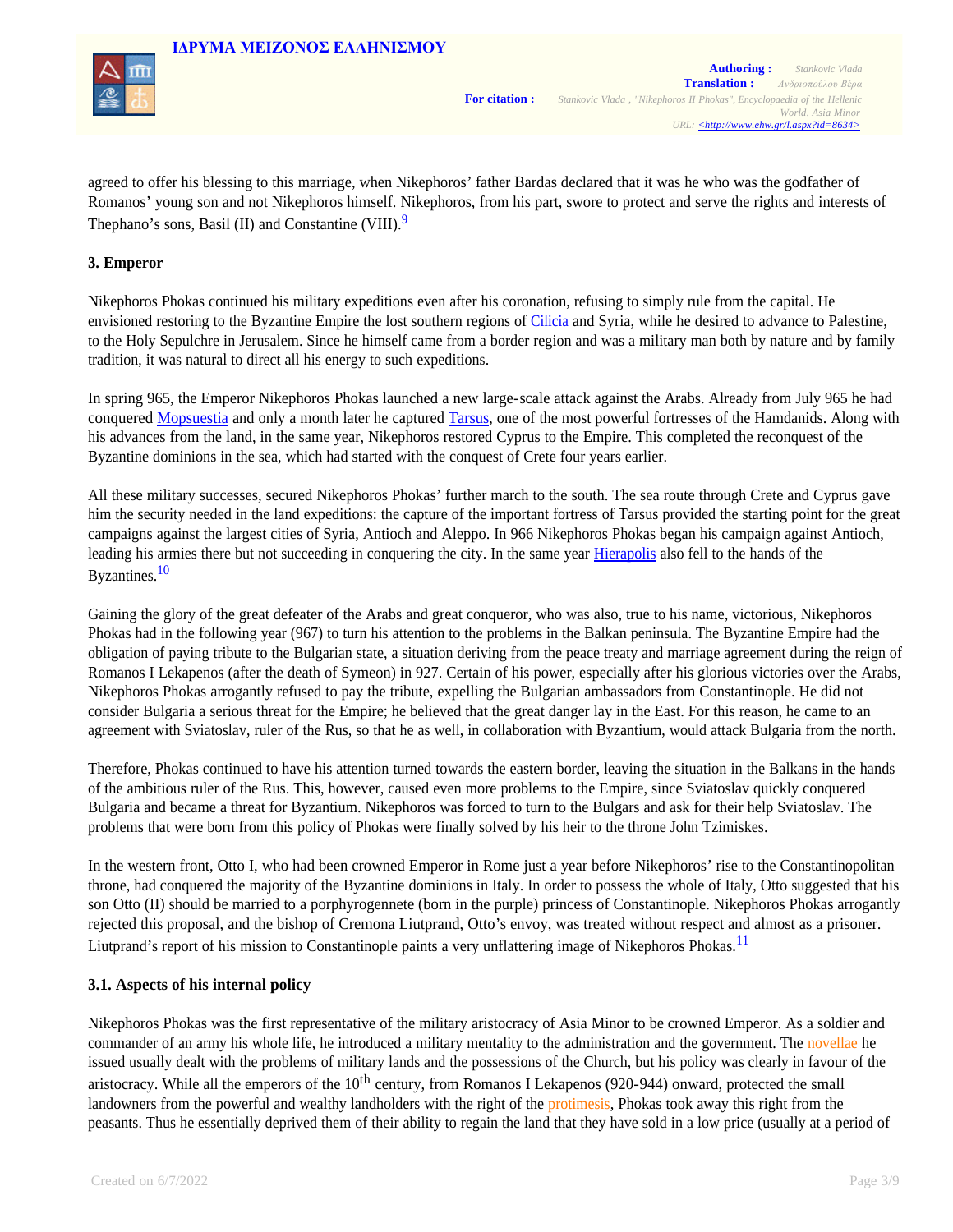

agreed to offer his blessing to this marriage, when Nikephoros' father Βardas declared that it was he who was the godfather of Romanos' young son and not Nikephoros himself. Nikephoros, from his part, swore to protect and serve the rights and interests of Thephano's sons, Basil (II) and Constantine (VIII).<sup>9</sup>

### **3. Emperor**

Nikephoros Phokas continued his military expeditions even after his coronation, refusing to simply rule from the capital. He envisioned restoring to the Byzantine Empire the lost southern regions of Cilicia and Syria, while he desired to advance to Palestine, to the Holy Sepulchre in Jerusalem. Since he himself came from a border region and was a military man both by nature and by family tradition, it was natural to direct all his energy to such expeditions.

In spring 965, the Emperor Nikephoros Phokas launched a new large-scale attack against the Arabs. Already from July 965 he had conquered Mopsuestia and only a month later he captured Tarsus, one of the most powerful fortresses of the Hamdanids. Along with his advances from the land, in the same year, Nikephoros restored Cyprus to the Empire. This completed the reconquest of the Byzantine dominions in the sea, which had started with the conquest of Crete four years earlier.

All these military successes, secured Nikephoros Phokas' further march to the south. The sea route through Crete and Cyprus gave him the security needed in the land expeditions: the capture of the important fortress of Tarsus provided the starting point for the great campaigns against the largest cities of Syria, Antioch and Aleppo. In 966 Nikephoros Phokas began his campaign against Antioch, leading his armies there but not succeeding in conquering the city. In the same year Hierapolis also fell to the hands of the Byzantines.<sup>10</sup>

Gaining the glory of the great defeater of the Arabs and great conqueror, who was also, true to his name, victorious, Nikephoros Phokas had in the following year (967) to turn his attention to the problems in the Balkan peninsula. The Byzantine Empire had the obligation of paying tribute to the Bulgarian state, a situation deriving from the peace treaty and marriage agreement during the reign of Romanos I Lekapenos (after the death of Symeon) in 927. Certain of his power, especially after his glorious victories over the Arabs, Nikephoros Phokas arrogantly refused to pay the tribute, expelling the Bulgarian ambassadors from Constantinople. He did not consider Bulgaria a serious threat for the Empire; he believed that the great danger lay in the East. For this reason, he came to an agreement with Sviatoslav, ruler of the Rus, so that he as well, in collaboration with Byzantium, would attack Bulgaria from the north.

Therefore, Phokas continued to have his attention turned towards the eastern border, leaving the situation in the Balkans in the hands of the ambitious ruler of the Rus. This, however, caused even more problems to the Empire, since Sviatoslav quickly conquered Bulgaria and became a threat for Byzantium. Nikephoros was forced to turn to the Bulgars and ask for their help Sviatoslav. The problems that were born from this policy of Phokas were finally solved by his heir to the throne John Tzimiskes.

In the western front, Otto I, who had been crowned Emperor in Rome just a year before Nikephoros' rise to the Constantinopolitan throne, had conquered the majority of the Byzantine dominions in Italy. In order to possess the whole of Italy, Otto suggested that his son Otto (II) should be married to a porphyrogennete (born in the purple) princess of Constantinople. Nikephoros Phokas arrogantly rejected this proposal, and the bishop of Cremona Liutprand, Otto's envoy, was treated without respect and almost as a prisoner. Liutprand's report of his mission to Constantinople paints a very unflattering image of Nikephoros Phokas.<sup>11</sup>

### **3.1. Aspects of his internal policy**

Nikephoros Phokas was the first representative of the military aristocracy of Asia Minor to be crowned Emperor. As a soldier and commander of an army his whole life, he introduced a military mentality to the administration and the government. The novellae he issued usually dealt with the problems of military lands and the possessions of the Church, but his policy was clearly in favour of the aristocracy. While all the emperors of the 10<sup>th</sup> century, from Romanos I Lekapenos (920-944) onward, protected the small landowners from the powerful and wealthy landholders with the right of the protimesis, Phokas took away this right from the peasants. Thus he essentially deprived them of their ability to regain the land that they have sold in a low price (usually at a period of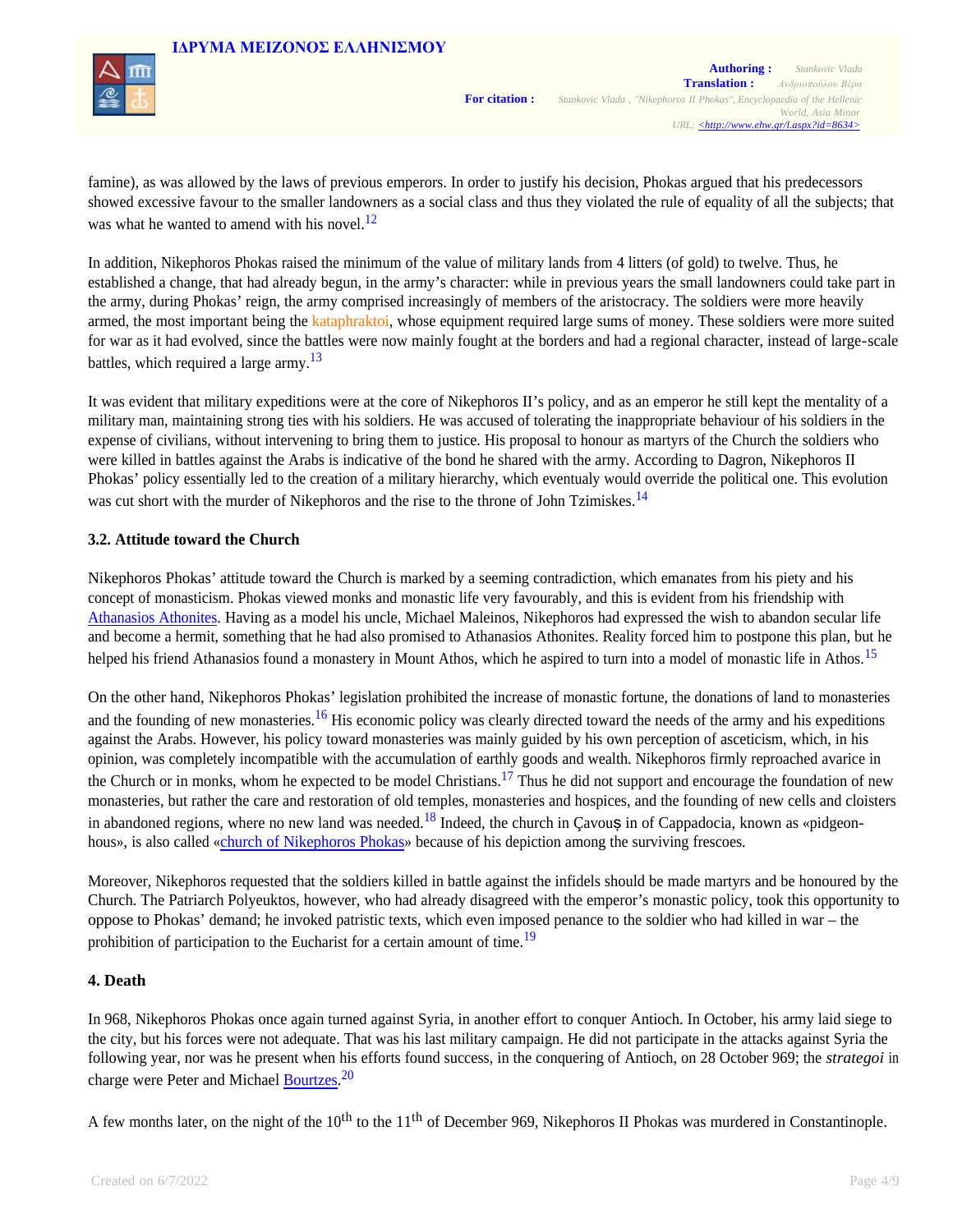

famine), as was allowed by the laws of previous emperors. In order to justify his decision, Phokas argued that his predecessors showed excessive favour to the smaller landowners as a social class and thus they violated the rule of equality of all the subjects; that was what he wanted to amend with his novel. $^{12}$ 

In addition, Nikephoros Phokas raised the minimum of the value of military lands from 4 litters (of gold) to twelve. Thus, he established a change, that had already begun, in the army's character: while in previous years the small landowners could take part in the army, during Phokas' reign, the army comprised increasingly of members of the aristocracy. The soldiers were more heavily armed, the most important being the kataphraktoi, whose equipment required large sums of money. These soldiers were more suited for war as it had evolved, since the battles were now mainly fought at the borders and had a regional character, instead of large-scale battles, which required a large army.<sup>13</sup>

It was evident that military expeditions were at the core of Nikephoros II's policy, and as an emperor he still kept the mentality of a military man, maintaining strong ties with his soldiers. He was accused of tolerating the inappropriate behaviour of his soldiers in the expense of civilians, without intervening to bring them to justice. His proposal to honour as martyrs of the Church the soldiers who were killed in battles against the Arabs is indicative of the bond he shared with the army. According to Dagron, Nikephoros II Phokas' policy essentially led to the creation of a military hierarchy, which eventualy would override the political one. This evolution was cut short with the murder of Nikephoros and the rise to the throne of John Tzimiskes.<sup>14</sup>

### **3.2. Attitude toward the Church**

Nikephoros Phokas' attitude toward the Church is marked by a seeming contradiction, which emanates from his piety and his concept of monasticism. Phokas viewed monks and monastic life very favourably, and this is evident from his friendship with Athanasios Athonites. Having as a model his uncle, Michael Maleinos, Nikephoros had expressed the wish to abandon secular life and become a hermit, something that he had also promised to Athanasios Athonites. Reality forced him to postpone this plan, but he helped his friend Athanasios found a monastery in Mount Athos, which he aspired to turn into a model of monastic life in Athos.<sup>15</sup>

On the other hand, Nikephoros Phokas' legislation prohibited the increase of monastic fortune, the donations of land to monasteries and the founding of new monasteries.<sup>16</sup> His economic policy was clearly directed toward the needs of the army and his expeditions against the Arabs. However, his policy toward monasteries was mainly guided by his own perception of asceticism, which, in his opinion, was completely incompatible with the accumulation of earthly goods and wealth. Nikephoros firmly reproached avarice in the Church or in monks, whom he expected to be model Christians.<sup>17</sup> Thus he did not support and encourage the foundation of new monasteries, but rather the care and restoration of old temples, monasteries and hospices, and the founding of new cells and cloisters in abandoned regions, where no new land was needed.<sup>18</sup> Indeed, the church in Cavou**ș** in of Cappadocia, known as «pidgeonhous», is also called «church of Nikephoros Phokas» because of his depiction among the surviving frescoes.

Moreover, Nikephoros requested that the soldiers killed in battle against the infidels should be made martyrs and be honoured by the Church. The Patriarch Polyeuktos, however, who had already disagreed with the emperor's monastic policy, took this opportunity to oppose to Phokas' demand; he invoked patristic texts, which even imposed penance to the soldier who had killed in war – the prohibition of participation to the Eucharist for a certain amount of time.<sup>19</sup>

### **4. Death**

In 968, Nikephoros Phokas once again turned against Syria, in another effort to conquer Antioch. In October, his army laid siege to the city, but his forces were not adequate. That was his last military campaign. He did not participate in the attacks against Syria the following year, nor was he present when his efforts found success, in the conquering of Antioch, on 28 October 969; the *strategoi* in charge were Peter and Michael Bourtzes.<sup>20</sup>

A few months later, on the night of the  $10^{th}$  to the  $11^{th}$  of December 969, Nikephoros II Phokas was murdered in Constantinople.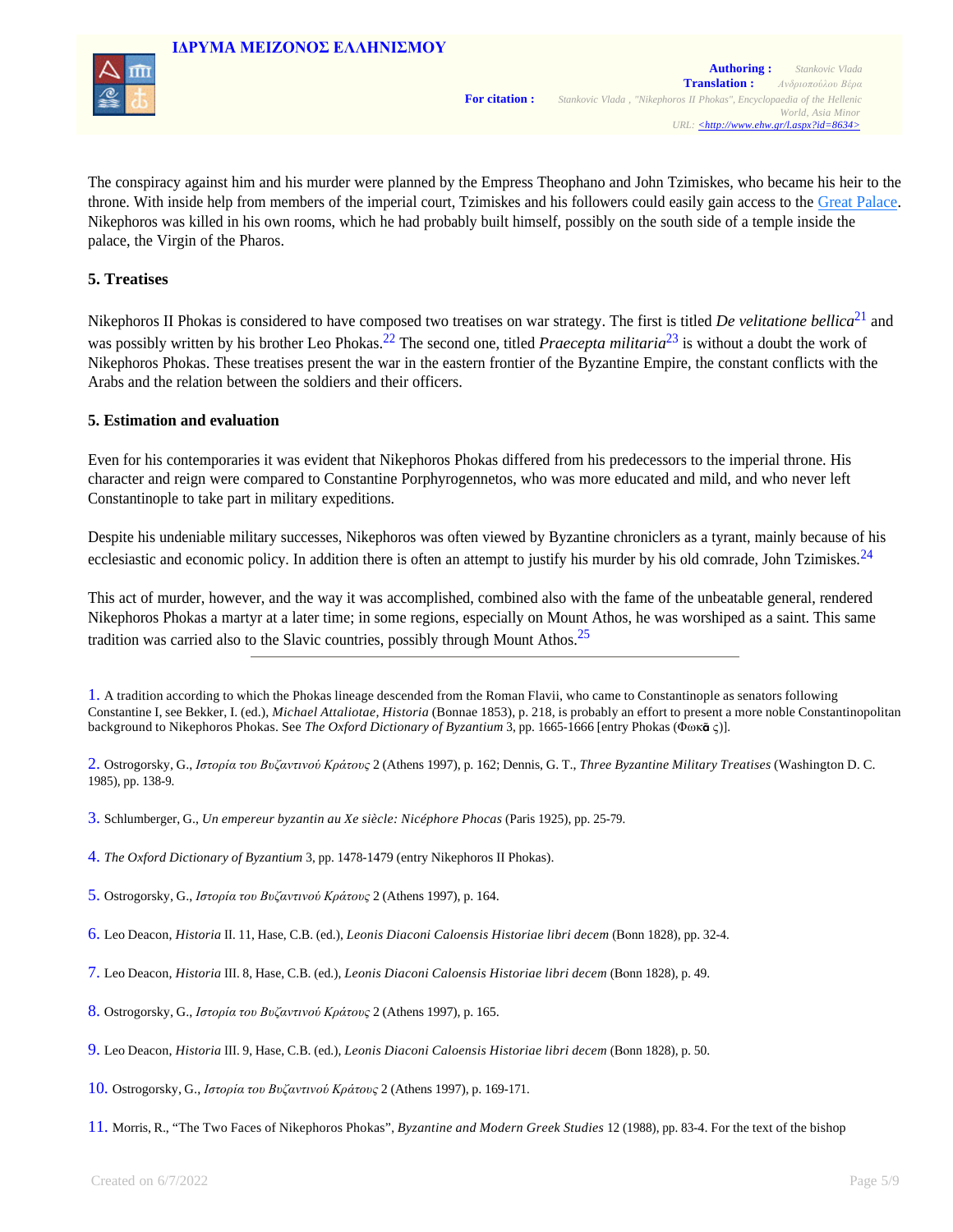



The conspiracy against him and his murder were planned by the Empress Theophano and John Tzimiskes, who became his heir to the throne. With inside help from members of the imperial court, Tzimiskes and his followers could easily gain access to the Great Palace. Nikephoros was killed in his own rooms, which he had probably built himself, possibly on the south side of a temple inside the palace, the Virgin of the Pharos.

### **5. Treatises**

Nikephoros II Phokas is considered to have composed two treatises on war strategy. The first is titled *De velitatione bellica*21 and was possibly written by his brother Leo Phokas.<sup>22</sup> The second one, titled *Praecepta militaria*<sup>23</sup> is without a doubt the work of Nikephoros Phokas. These treatises present the war in the eastern frontier of the Byzantine Empire, the constant conflicts with the Arabs and the relation between the soldiers and their officers.

### **5. Estimation and evaluation**

Even for his contemporaries it was evident that Nikephoros Phokas differed from his predecessors to the imperial throne. His character and reign were compared to Constantine Porphyrogennetos, who was more educated and mild, and who never left Constantinople to take part in military expeditions.

Despite his undeniable military successes, Nikephoros was often viewed by Byzantine chroniclers as a tyrant, mainly because of his ecclesiastic and economic policy. In addition there is often an attempt to justify his murder by his old comrade, John Tzimiskes.<sup>24</sup>

This act of murder, however, and the way it was accomplished, combined also with the fame of the unbeatable general, rendered Nikephoros Phokas a martyr at a later time; in some regions, especially on Mount Athos, he was worshiped as a saint. This same tradition was carried also to the Slavic countries, possibly through Mount Athos.<sup>25</sup>

1. A tradition according to which the Phokas lineage descended from the Roman Flavii, who came to Constantinople as senators following Constantine I, see Bekker, I. (ed.), *Michael Attaliotae, Historia* (Bonnae 1853), p. 218, is probably an effort to present a more noble Constantinopolitan background to Nikephoros Phokas. See *The Oxford Dictionary of Byzantium* 3, pp. 1665-1666 [entry Phokas (Φωκ**ᾶ** ς)].

2. Ostrogorsky, G., *Ιστορία του Βυζαντινού Κράτους* 2 (Athens 1997), p. 162; Dennis, G. T., *Three Byzantine Military Treatises* (Washington D. C. 1985), pp. 138-9.

3. Schlumberger, G., *Un empereur byzantin au Xe siècle: Nicéphore Phocas* (Paris 1925), pp. 25-79.

- 5. Ostrogorsky, G., *Ιστορία του Βυζαντινού Κράτους* 2 (Athens 1997), p. 164.
- 6. Leo Deacon, *Historia* ΙΙ. 11, Hase, C.B. (ed.), *Leonis Diaconi Caloensis Historiae libri decem* (Βοnn 1828), pp. 32-4.
- 7. Leo Deacon, *Historia* ΙΙΙ. 8, Hase, C.B. (ed.), *Leonis Diaconi Caloensis Historiae libri decem* (Βοnn 1828), p. 49.
- 8. Ostrogorsky, G., *Ιστορία του Βυζαντινού Κράτους* 2 (Athens 1997), p. 165.
- 9. Leo Deacon, *Historia* ΙΙΙ. 9, Hase, C.B. (ed.), *Leonis Diaconi Caloensis Historiae libri decem* (Βοnn 1828), p. 50.
- 10. Ostrogorsky, G., *Ιστορία του Βυζαντινού Κράτους* 2 (Athens 1997), p. 169-171.
- 11. Morris, R., "The Two Faces of Nikephoros Phokas", *Byzantine and Modern Greek Studies* 12 (1988), pp. 83-4. For the text of the bishop

<sup>4.</sup> *The Oxford Dictionary of Byzantium* 3, pp. 1478-1479 (entry Nikephoros II Phokas).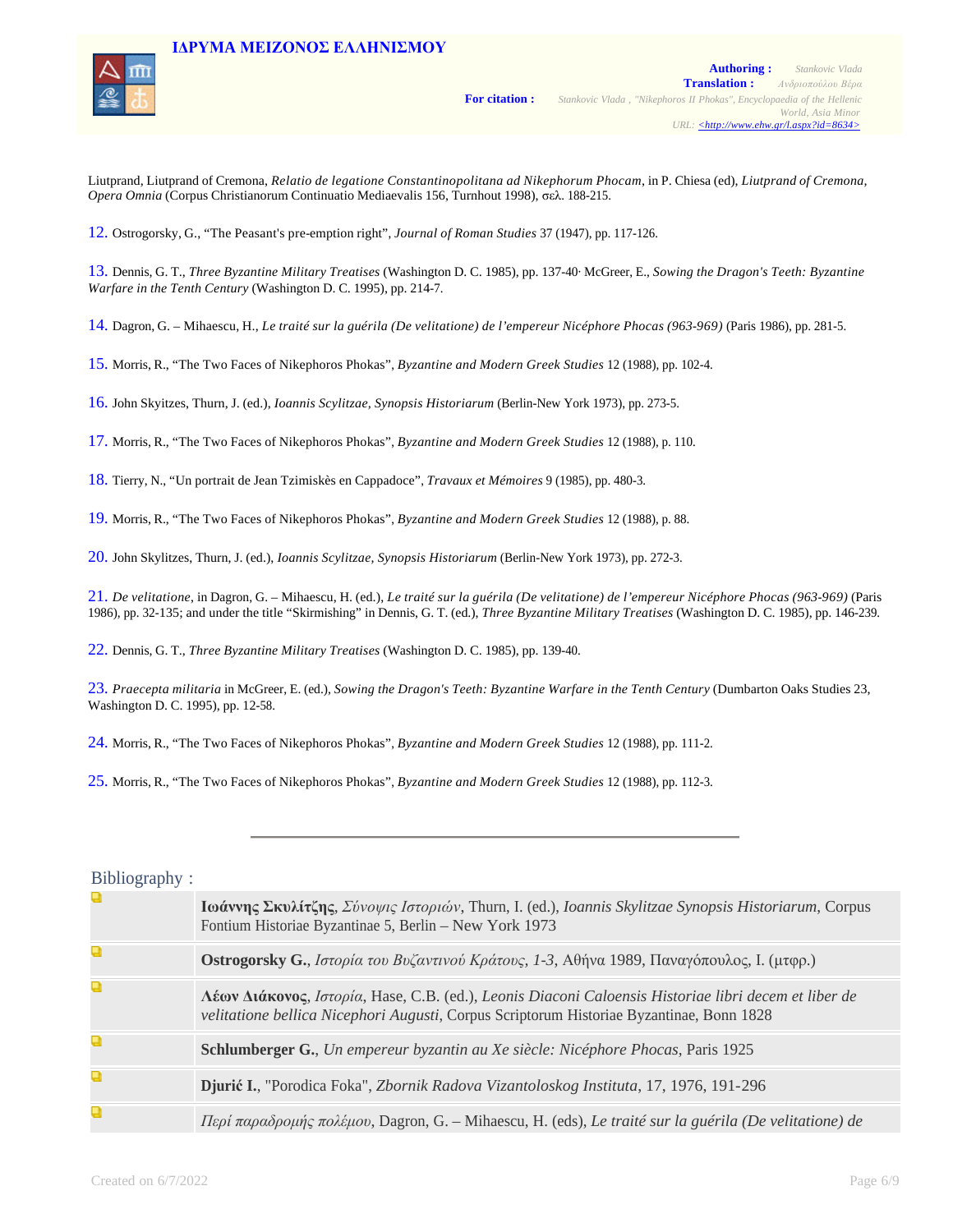

Liutprand, Liutprand of Cremona, *Relatio de legatione Constantinopolitana ad Nikephorum Phocam*, in P. Chiesa (ed), *Liutprand of Cremona, Opera Omnia* (Corpus Christianorum Continuatio Mediaevalis 156, Turnhout 1998), σελ. 188-215.

12. Ostrogorsky, G., "The Peasant's pre-emption right", *Journal of Roman Studies* 37 (1947), pp. 117-126.

13. Dennis, G. T., *Three Byzantine Military Treatises* (Washington D. C. 1985), pp. 137-40· McGreer, E., *Sowing the Dragon's Teeth: Byzantine Warfare in the Tenth Century* (Washington D. C. 1995), pp. 214-7.

14. Dagron, G. – Mihaescu, H., *Le traité sur la guérila (De velitatione) de l'empereur Nicéphore Phocas (963-969)* (Paris 1986), pp. 281-5.

15. Morris, R., "The Two Faces of Nikephoros Phokas", *Byzantine and Modern Greek Studies* 12 (1988), pp. 102-4.

16. John Skyitzes, Thurn, J. (ed.), *Ioannis Scylitzae, Synopsis Historiarum* (Berlin-New York 1973), pp. 273-5.

17. Morris, R., "The Two Faces of Nikephoros Phokas", *Byzantine and Modern Greek Studies* 12 (1988), p. 110.

18. Tierry, N., "Un portrait de Jean Tzimiskès en Cappadoce", *Travaux et Mémoires* 9 (1985), pp. 480-3.

19. Morris, R., "The Two Faces of Nikephoros Phokas", *Byzantine and Modern Greek Studies* 12 (1988), p. 88.

20. John Skylitzes, Thurn, J. (ed.), *Ioannis Scylitzae, Synopsis Historiarum* (Berlin-New York 1973), pp. 272-3.

21. *De velitatione*, in Dagron, G. – Mihaescu, H. (ed.), *Le traité sur la guérila (De velitatione) de l'empereur Nicéphore Phocas (963-969)* (Paris 1986), pp. 32-135; and under the title "Skirmishing" in Dennis, G. T. (ed.), *Three Byzantine Military Treatises* (Washington D. C. 1985), pp. 146-239.

22. Dennis, G. T., *Three Byzantine Military Treatises* (Washington D. C. 1985), pp. 139-40.

23. *Praecepta militaria* in McGreer, E. (ed.), *Sowing the Dragon's Teeth: Byzantine Warfare in the Tenth Century* (Dumbarton Oaks Studies 23, Washington D. C. 1995), pp. 12-58.

24. Morris, R., "The Two Faces of Nikephoros Phokas", *Byzantine and Modern Greek Studies* 12 (1988), pp. 111-2.

25. Morris, R., "The Two Faces of Nikephoros Phokas", *Byzantine and Modern Greek Studies* 12 (1988), pp. 112-3.

# Bibliography :

| Q | Ιωάννης Σκυλίτζης, Σύνοψις Ιστοριών, Thurn, I. (ed.), Ioannis Skylitzae Synopsis Historiarum, Corpus<br>Fontium Historiae Byzantinae 5, Berlin – New York 1973                                   |
|---|--------------------------------------------------------------------------------------------------------------------------------------------------------------------------------------------------|
| Q | <b>Ostrogorsky G.</b> , Ιστορία του Βυζαντινού Κράτους, 1-3, Αθήνα 1989, Παναγόπουλος, Ι. (μτφρ.)                                                                                                |
| Q | Λέων Διάκονος, Ιστορία, Hase, C.B. (ed.), Leonis Diaconi Caloensis Historiae libri decem et liber de<br>velitatione bellica Nicephori Augusti, Corpus Scriptorum Historiae Byzantinae, Bonn 1828 |
| Q | <b>Schlumberger G.</b> , Un empereur byzantin au Xe siècle: Nicéphore Phocas, Paris 1925                                                                                                         |
| Q | Djurić I., "Porodica Foka", Zbornik Radova Vizantoloskog Instituta, 17, 1976, 191-296                                                                                                            |
| Q | Περί παραδρομής πολέμου, Dagron, G. – Mihaescu, H. (eds), Le traité sur la guérila (De velitatione) de                                                                                           |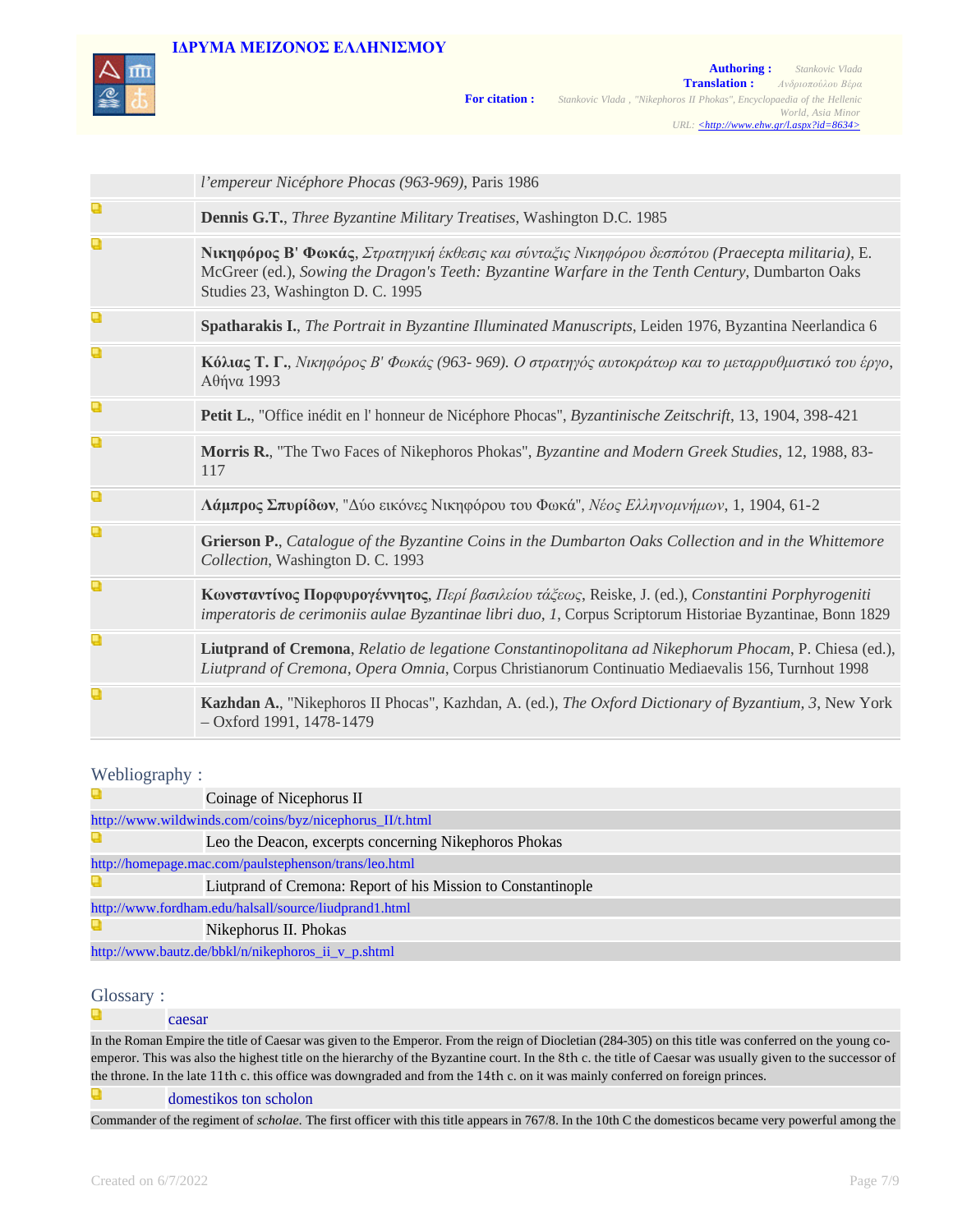

|   | l'empereur Nicéphore Phocas (963-969), Paris 1986                                                                                                                                                                                                 |
|---|---------------------------------------------------------------------------------------------------------------------------------------------------------------------------------------------------------------------------------------------------|
| Q | Dennis G.T., Three Byzantine Military Treatises, Washington D.C. 1985                                                                                                                                                                             |
| Q | <b>Νικηφόρος Β' Φωκάς</b> , Στρατηγική έκθεσις και σύνταξις Νικηφόρου δεσπότου (Praecepta militaria), E.<br>McGreer (ed.), Sowing the Dragon's Teeth: Byzantine Warfare in the Tenth Century, Dumbarton Oaks<br>Studies 23, Washington D. C. 1995 |
| Q | Spatharakis I., The Portrait in Byzantine Illuminated Manuscripts, Leiden 1976, Byzantina Neerlandica 6                                                                                                                                           |
| Q | Κόλιας Τ. Γ., Νικηφόρος Β' Φωκάς (963-969). Ο στρατηγός αυτοκράτωρ και το μεταρρυθμιστικό του έργο,<br>Αθήνα 1993                                                                                                                                 |
| Q | Petit L., "Office inédit en l'honneur de Nicéphore Phocas", Byzantinische Zeitschrift, 13, 1904, 398-421                                                                                                                                          |
| Q | Morris R., "The Two Faces of Nikephoros Phokas", Byzantine and Modern Greek Studies, 12, 1988, 83-<br>117                                                                                                                                         |
| Q | Λάμπρος Σπυρίδων, "Δύο εικόνες Νικηφόρου του Φωκά", Νέος Ελληνομνήμων, 1, 1904, 61-2                                                                                                                                                              |
| Q | Grierson P., Catalogue of the Byzantine Coins in the Dumbarton Oaks Collection and in the Whittemore<br>Collection, Washington D. C. 1993                                                                                                         |
| Q | Κωνσταντίνος Πορφυρογέννητος, Περί βασιλείου τάζεως, Reiske, J. (ed.), Constantini Porphyrogeniti<br>imperatoris de cerimoniis aulae Byzantinae libri duo, 1, Corpus Scriptorum Historiae Byzantinae, Bonn 1829                                   |
| Q | Liutprand of Cremona, Relatio de legatione Constantinopolitana ad Nikephorum Phocam, P. Chiesa (ed.),<br>Liutprand of Cremona, Opera Omnia, Corpus Christianorum Continuatio Mediaevalis 156, Turnhout 1998                                       |
| Q | Kazhdan A., "Nikephoros II Phocas", Kazhdan, A. (ed.), The Oxford Dictionary of Byzantium, 3, New York<br>$-$ Oxford 1991, 1478-1479                                                                                                              |

## Webliography :

|                                                         | Coinage of Nicephorus II                                      |  |
|---------------------------------------------------------|---------------------------------------------------------------|--|
| http://www.wildwinds.com/coins/byz/nicephorus_II/t.html |                                                               |  |
|                                                         | Leo the Deacon, excerpts concerning Nikephoros Phokas         |  |
| http://homepage.mac.com/paulstephenson/trans/leo.html   |                                                               |  |
|                                                         | Liutprand of Cremona: Report of his Mission to Constantinople |  |
| http://www.fordham.edu/halsall/source/liudprand1.html   |                                                               |  |
|                                                         | Nikephorus II. Phokas                                         |  |
| http://www.bautz.de/bbkl/n/nikephoros_ii_v_p.shtml      |                                                               |  |

### Glossary :

a caesar

In the Roman Empire the title of Caesar was given to the Emperor. From the reign of Diocletian (284-305) on this title was conferred on the young coemperor. This was also the highest title on the hierarchy of the Byzantine court. In the 8th c. the title of Caesar was usually given to the successor of the throne. In the late 11th c. this office was downgraded and from the 14th c. on it was mainly conferred on foreign princes.

Q domestikos ton scholon

Commander of the regiment of *scholae.* The first officer with this title appears in 767/8. In the 10th C the domesticos became very powerful among the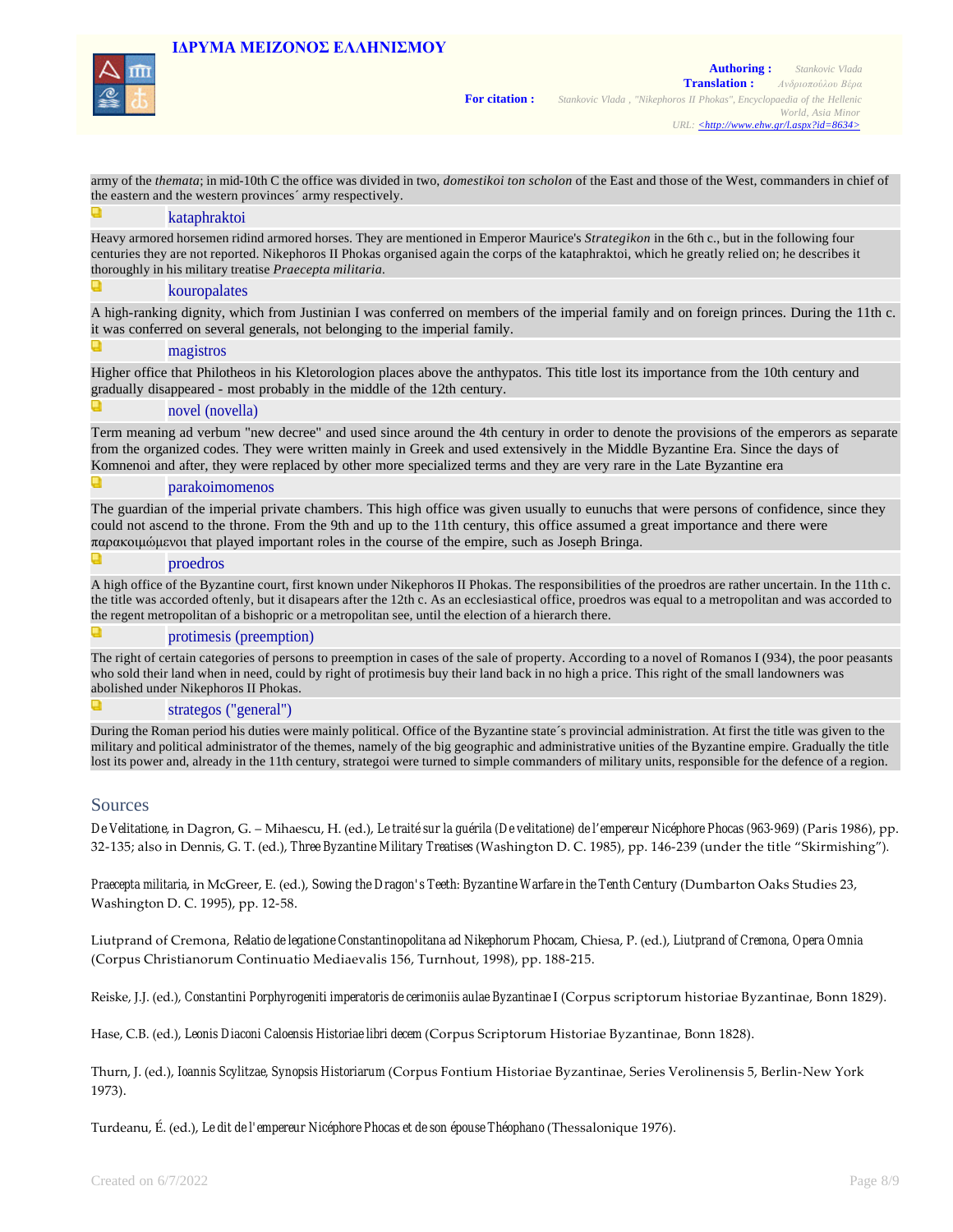

army of the *themata*; in mid-10th C the office was divided in two, *domestikoi ton scholon* of the East and those of the West, commanders in chief of the eastern and the western provinces´ army respectively.

#### kataphraktoi

Heavy armored horsemen ridind armored horses. They are mentioned in Emperor Maurice's *Strategikon* in the 6th c., but in the following four centuries they are not reported. Nikephoros II Phokas organised again the corps of the kataphraktoi, which he greatly relied on; he describes it thoroughly in his military treatise *Praecepta militaria*.

#### kouropalates

A high-ranking dignity, which from Justinian I was conferred on members of the imperial family and on foreign princes. During the 11th c. it was conferred on several generals, not belonging to the imperial family.

#### magistros

Higher office that Philotheos in his Kletorologion places above the anthypatos. This title lost its importance from the 10th century and gradually disappeared - most probably in the middle of the 12th century.

#### novel (novella)

Τerm meaning ad verbum "new decree" and used since around the 4th century in order to denote the provisions of the emperors as separate from the organized codes. They were written mainly in Greek and used extensively in the Middle Byzantine Era. Since the days of Komnenoi and after, they were replaced by other more specialized terms and they are very rare in the Late Byzantine era

#### parakoimomenos

Τhe guardian of the imperial private chambers. This high office was given usually to eunuchs that were persons of confidence, since they could not ascend to the throne. From the 9th and up to the 11th century, this office assumed a great importance and there were παρακοιμώμενοι that played important roles in the course of the empire, such as Joseph Bringa.

#### proedros

A high office of the Byzantine court, first known under Nikephoros II Phokas. The responsibilities of the proedros are rather uncertain. In the 11th c. the title was accorded oftenly, but it disapears after the 12th c. As an ecclesiastical office, proedros was equal to a metropolitan and was accorded to the regent metropolitan of a bishopric or a metropolitan see, until the election of a hierarch there.

#### protimesis (preemption)

The right of certain categories of persons to preemption in cases of the sale of property. According to a novel of Romanos I (934), the poor peasants who sold their land when in need, could by right of protimesis buy their land back in no high a price. This right of the small landowners was abolished under Nikephoros II Phokas.

#### strategos ("general")

During the Roman period his duties were mainly political. Οffice of the Byzantine state´s provincial administration. At first the title was given to the military and political administrator of the themes, namely of the big geographic and administrative unities of the Byzantine empire. Gradually the title lost its power and, already in the 11th century, strategoi were turned to simple commanders of military units, responsible for the defence of a region.

#### Sources

*De Velitatione*, in Dagron, G. – Mihaescu, H. (ed.), *Le traité sur la guérila (De velitatione) de l'empereur Nicéphore Phocas (963-969)* (Paris 1986), pp. 32‑135; also in Dennis, G. T. (ed.), *Three Byzantine Military Treatises* (Washington D. C. 1985), pp. 146‑239 (under the title "Skirmishing").

*Praecepta militaria*, in McGreer, E. (ed.), *Sowing the Dragon's Teeth: Byzantine Warfare in the Tenth Century* (Dumbarton Oaks Studies 23, Washington D. C. 1995), pp. 12‑58.

Liutprand of Cremona, *Relatio de legatione Constantinopolitana ad Nikephorum Phocam*, Chiesa, P. (ed.), *Liutprand of Cremona, Opera Omnia* (Corpus Christianorum Continuatio Mediaevalis 156, Turnhout, 1998), pp. 188‑215.

Reiske, J.J. (ed.), *Constantini Porphyrogeniti imperatoris de cerimoniis aulae Byzantinae* I (Corpus scriptorum historiae Byzantinae, Bonn 1829).

Hase, C.B. (ed.), *Leonis Diaconi Caloensis Historiae libri decem* (Corpus Scriptorum Historiae Byzantinae, Βοnn 1828).

Thurn, J. (ed.), *Ioannis Scylitzae, Synopsis Historiarum* (Corpus Fontium Historiae Byzantinae, Series Verolinensis 5, Berlin‑New York 1973).

Turdeanu, É. (ed.), *Le dit de l'empereur Nicéphore Phocas et de son épouse Théophano* (Thessalonique 1976).